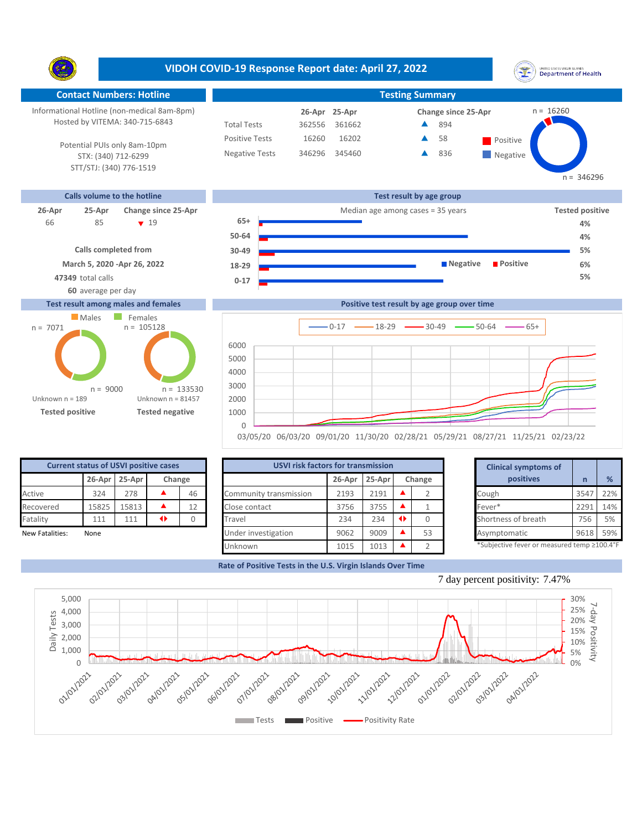**VIDOH COVID-19 Response Report date: April 27, 2022** UNITED STATES VIRGIN SLANDS<br>Department of Health Y. **Contact Numbers: Hotline Testing Summary** Informational Hotline (non-medical 8am-8pm)  $n = 16260$ **25-Apr 26-Apr Change since 25-Apr** Hosted by VITEMA: 340-715-6843 Total Tests 362556 361662 894 ▲ Positive Tests 16202 **A** 58 **Positive**  $\blacktriangle$ 16260 58 Potential PUIs only 8am-10pm Negative Tests 346296 345460 836 ▲ **Negative** STX: (340) 712-6299 STT/STJ: (340) 776-1519  $n = 346296$ **Calls volume to the hotline Test result by age group 26-Apr 25-Apr Change since 25-Apr** Median age among cases = 35 years **Tested positive 65+** 85 **19** 66 **4% 50-64 Calls completed from 30-49 March 5, 2020 -Apr 26, 2022 Negative Positive 18-29 47349** total calls **5% 0-17**

**60** average per day

## **Test result among males and females**



|      | Positive test result by age group over time  |
|------|----------------------------------------------|
|      |                                              |
|      | $-0.17$ $-18-29$ $-30-49$ $-50-64$<br>$-65+$ |
|      |                                              |
| 6000 |                                              |
| 5000 |                                              |
| 4000 |                                              |
|      |                                              |
| 3000 |                                              |
| 2000 |                                              |
| 1000 |                                              |
|      |                                              |
|      |                                              |

03/05/20 06/03/20 09/01/20 11/30/20 02/28/21 05/29/21 08/27/21 11/25/21 02/23/22

| <b>Current status of USVI positive cases</b> |        |        |        |    |  |  |  |
|----------------------------------------------|--------|--------|--------|----|--|--|--|
|                                              | 26-Apr | 25-Apr | Change |    |  |  |  |
| Active                                       | 324    | 278    |        | 46 |  |  |  |
| Recovered                                    | 15825  | 15813  |        | 12 |  |  |  |
| Fatality                                     | 111    | 111    |        |    |  |  |  |
| New Fatalities:                              | None   |        |        |    |  |  |  |

| <b>Current status of USVI positive cases</b> |       |               |   |        | <b>USVI risk factors for transmission</b> |        |        |  |        |  |                                            |      |     |
|----------------------------------------------|-------|---------------|---|--------|-------------------------------------------|--------|--------|--|--------|--|--------------------------------------------|------|-----|
|                                              |       | 26-Apr 25-Apr |   | Change |                                           | 26-Apr | 25-Apr |  | Change |  | positives                                  |      | %   |
| Active                                       | 324   | 278           |   | 46     | Community transmission                    | 2193   | 2191   |  |        |  | Cough                                      | 3547 | 22% |
| Recovered                                    | 15825 | 15813         |   | 12     | Close contact                             | 3756   | 3755   |  |        |  | Fever*                                     | 229: | 14% |
| Fatality                                     | 111   | 111           | ◆ |        | Travel                                    | 234    | 234    |  |        |  | Shortness of breath                        | 756  | 5%  |
| New Fatalities:                              | None  |               |   |        | Under investigation                       | 9062   | 9009   |  | 53     |  | Asymptomatic                               | 9618 | 59% |
|                                              |       |               |   |        | Unknown                                   | 1015   | 1013   |  |        |  | *Subjective fever or measured temp ≥100.4° |      |     |

| for transmission |        |        |                |  |
|------------------|--------|--------|----------------|--|
| 26-Apr           | 25-Apr | Change |                |  |
| 2193             | 2191   |        | $\overline{2}$ |  |
| 3756             | 3755   |        |                |  |
| 234              | 234    | ◆      | 0              |  |
| 9062             | 9009   |        | 53             |  |
| 1015             | 1013   |        | C              |  |

**4% 5% 6%**

**Rate of Positive Tests in the U.S. Virgin Islands Over Time**